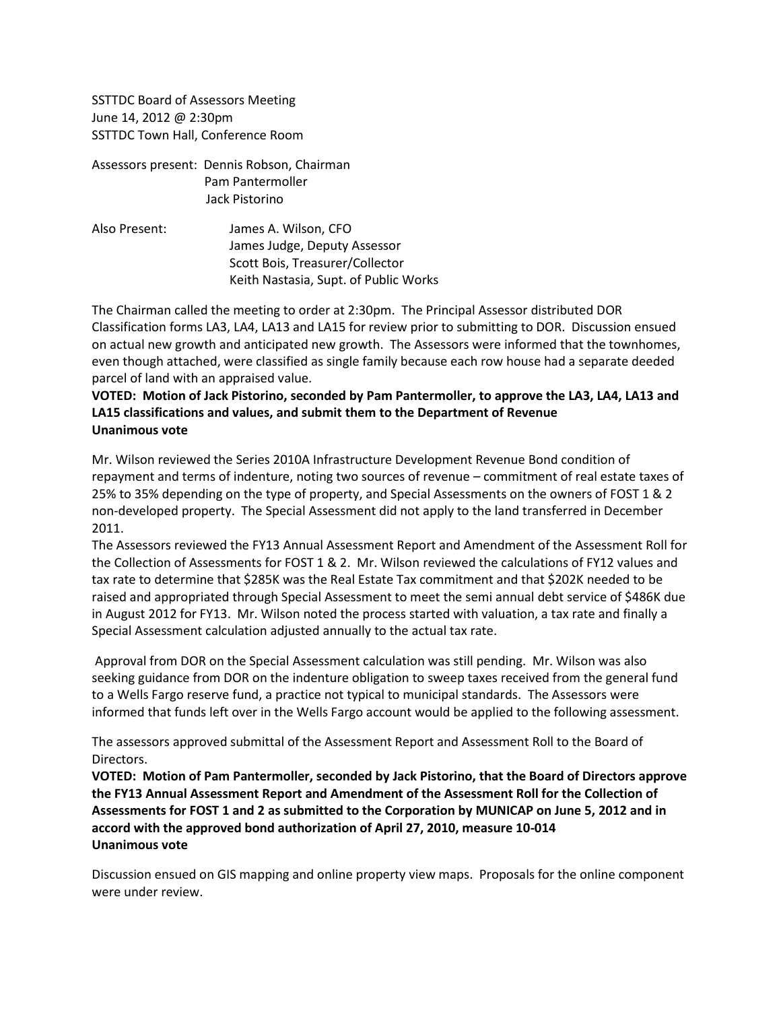SSTTDC Board of Assessors Meeting June 14, 2012 @ 2:30pm SSTTDC Town Hall, Conference Room

Assessors present: Dennis Robson, Chairman Pam Pantermoller Jack Pistorino

Also Present: James A. Wilson, CFO James Judge, Deputy Assessor Scott Bois, Treasurer/Collector Keith Nastasia, Supt. of Public Works

The Chairman called the meeting to order at 2:30pm. The Principal Assessor distributed DOR Classification forms LA3, LA4, LA13 and LA15 for review prior to submitting to DOR. Discussion ensued on actual new growth and anticipated new growth. The Assessors were informed that the townhomes, even though attached, were classified as single family because each row house had a separate deeded parcel of land with an appraised value.

## **VOTED: Motion of Jack Pistorino, seconded by Pam Pantermoller, to approve the LA3, LA4, LA13 and LA15 classifications and values, and submit them to the Department of Revenue Unanimous vote**

Mr. Wilson reviewed the Series 2010A Infrastructure Development Revenue Bond condition of repayment and terms of indenture, noting two sources of revenue – commitment of real estate taxes of 25% to 35% depending on the type of property, and Special Assessments on the owners of FOST 1 & 2 non-developed property. The Special Assessment did not apply to the land transferred in December 2011.

The Assessors reviewed the FY13 Annual Assessment Report and Amendment of the Assessment Roll for the Collection of Assessments for FOST 1 & 2. Mr. Wilson reviewed the calculations of FY12 values and tax rate to determine that \$285K was the Real Estate Tax commitment and that \$202K needed to be raised and appropriated through Special Assessment to meet the semi annual debt service of \$486K due in August 2012 for FY13. Mr. Wilson noted the process started with valuation, a tax rate and finally a Special Assessment calculation adjusted annually to the actual tax rate.

Approval from DOR on the Special Assessment calculation was still pending. Mr. Wilson was also seeking guidance from DOR on the indenture obligation to sweep taxes received from the general fund to a Wells Fargo reserve fund, a practice not typical to municipal standards. The Assessors were informed that funds left over in the Wells Fargo account would be applied to the following assessment.

The assessors approved submittal of the Assessment Report and Assessment Roll to the Board of Directors.

**VOTED: Motion of Pam Pantermoller, seconded by Jack Pistorino, that the Board of Directors approve the FY13 Annual Assessment Report and Amendment of the Assessment Roll for the Collection of Assessments for FOST 1 and 2 as submitted to the Corporation by MUNICAP on June 5, 2012 and in accord with the approved bond authorization of April 27, 2010, measure 10-014 Unanimous vote**

Discussion ensued on GIS mapping and online property view maps. Proposals for the online component were under review.